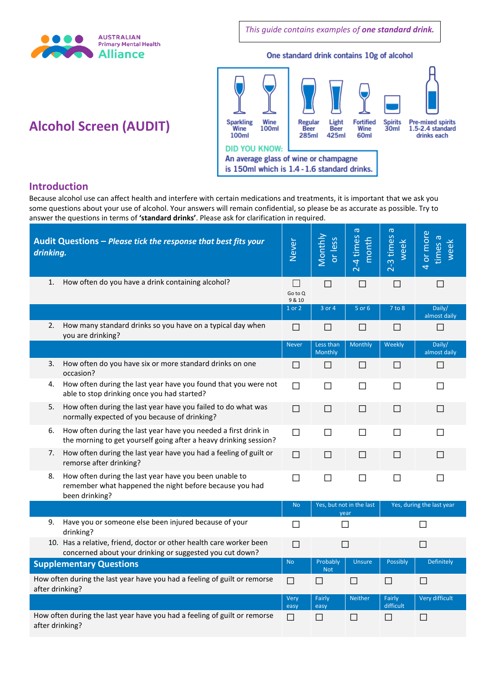

*This guide contains examples of one standard drink.*

#### One standard drink contains 10g of alcohol



# **Alcohol Screen (AUDIT)**

#### **Introduction**

Because alcohol use can affect health and interfere with certain medications and treatments, it is important that we ask you some questions about your use of alcohol. Your answers will remain confidential, so please be as accurate as possible. Try to answer the questions in terms of **'standard drinks'**. Please ask for clarification in required.

| Audit Questions - Please tick the response that best fits your<br>drinking.                  |                                                                                                                                      | <b>Never</b>                         | Monthly<br>or less               | $\sigma$<br>2-4 times<br>month | ത<br>2-3 times<br>week    | or more<br>times a<br>week |
|----------------------------------------------------------------------------------------------|--------------------------------------------------------------------------------------------------------------------------------------|--------------------------------------|----------------------------------|--------------------------------|---------------------------|----------------------------|
| 1.                                                                                           | How often do you have a drink containing alcohol?                                                                                    | $\vert$ $\vert$<br>Go to Q<br>9 & 10 | П                                | П                              | П                         | П                          |
|                                                                                              |                                                                                                                                      | 1 or 2                               | 3 or 4                           | 5 or 6                         | 7 to 8                    | Daily/<br>almost daily     |
| 2.                                                                                           | How many standard drinks so you have on a typical day when<br>you are drinking?                                                      | $\Box$                               | ΙI                               | $\Box$                         | П                         | П                          |
|                                                                                              |                                                                                                                                      | <b>Never</b>                         | Less than<br>Monthly             | <b>Monthly</b>                 | Weekly                    | Daily/<br>almost daily     |
| 3.                                                                                           | How often do you have six or more standard drinks on one<br>occasion?                                                                | П                                    | $\Box$                           | $\Box$                         | $\Box$                    | П                          |
| 4.                                                                                           | How often during the last year have you found that you were not<br>able to stop drinking once you had started?                       | П                                    | $\Box$                           | $\Box$                         | П                         | П                          |
| 5.                                                                                           | How often during the last year have you failed to do what was<br>normally expected of you because of drinking?                       | $\Box$                               | $\Box$                           | $\Box$                         | $\perp$                   | $\mathsf{L}$               |
| 6.                                                                                           | How often during the last year have you needed a first drink in<br>the morning to get yourself going after a heavy drinking session? | $\Box$                               | П                                | П                              | П                         | П                          |
| 7.                                                                                           | How often during the last year have you had a feeling of guilt or<br>remorse after drinking?                                         | П                                    | $\Box$                           | П                              | $\Box$                    | $\Box$                     |
| 8.                                                                                           | How often during the last year have you been unable to<br>remember what happened the night before because you had<br>been drinking?  | $\Box$                               | $\Box$                           | $\Box$                         | $\Box$                    | П                          |
|                                                                                              |                                                                                                                                      | <b>No</b>                            | Yes, but not in the last<br>year |                                | Yes, during the last year |                            |
| 9.                                                                                           | Have you or someone else been injured because of your<br>drinking?                                                                   | ΙI                                   |                                  |                                | H                         |                            |
|                                                                                              | 10. Has a relative, friend, doctor or other health care worker been<br>concerned about your drinking or suggested you cut down?      | $\Box$                               | П                                |                                | П                         |                            |
| <b>Supplementary Questions</b>                                                               |                                                                                                                                      | <b>No</b>                            | Probably<br><b>Not</b>           | <b>Unsure</b>                  | Possibly                  | Definitely                 |
| How often during the last year have you had a feeling of guilt or remorse<br>after drinking? |                                                                                                                                      | П                                    | П                                | П                              | П                         | $\Box$                     |
|                                                                                              |                                                                                                                                      | Very<br>easy                         | Fairly<br>easy                   | <b>Neither</b>                 | Fairly<br>difficult       | Very difficult             |
| How often during the last year have you had a feeling of guilt or remorse<br>after drinking? |                                                                                                                                      |                                      | П                                | П                              | П                         | П                          |